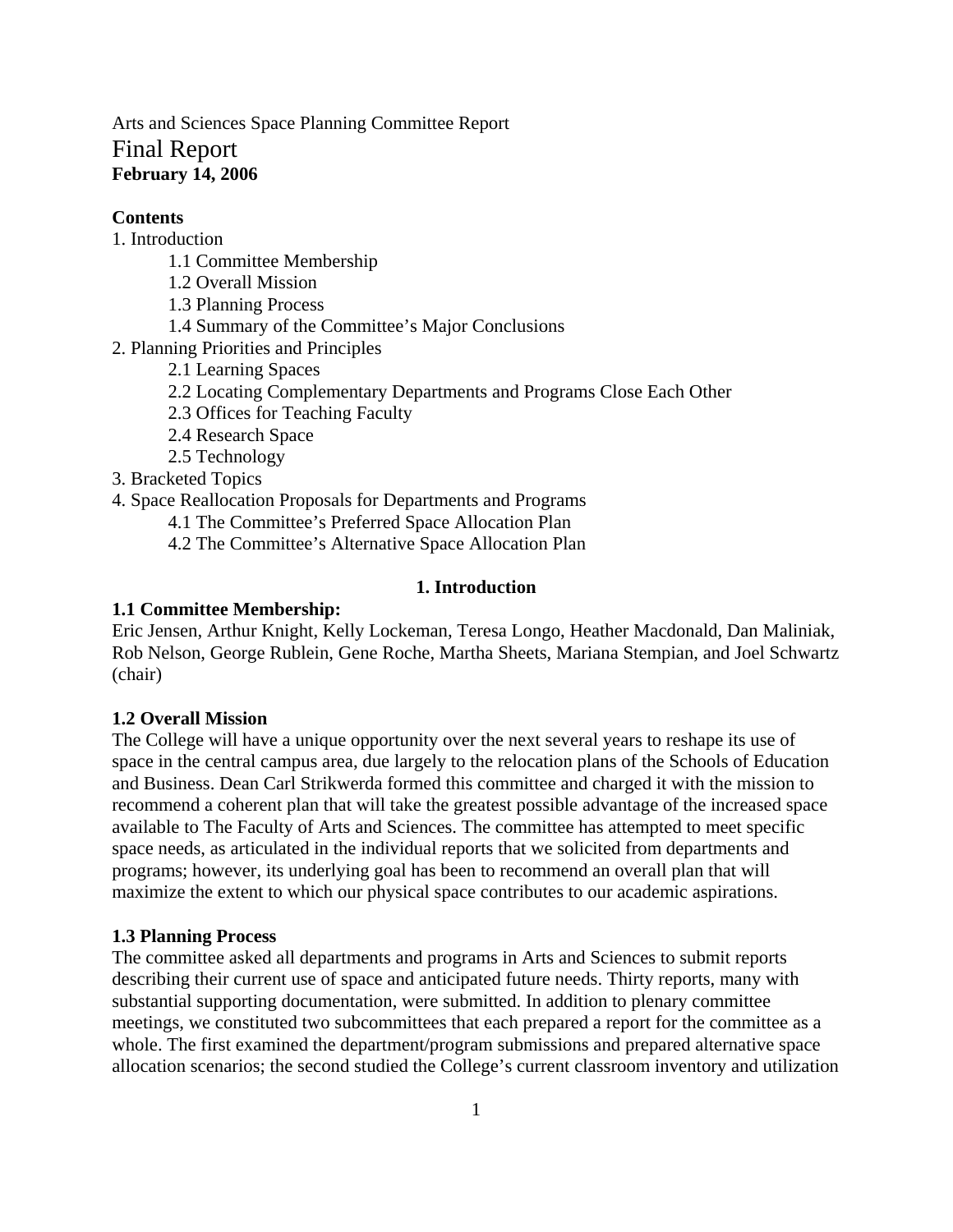Arts and Sciences Space Planning Committee Report Final Report **February 14, 2006** 

## **Contents**

# 1. Introduction

- 1.1 Committee Membership
- 1.2 Overall Mission
- 1.3 Planning Process
- 1.4 Summary of the Committee's Major Conclusions
- 2. Planning Priorities and Principles
	- 2.1 Learning Spaces
	- 2.2 Locating Complementary Departments and Programs Close Each Other
	- 2.3 Offices for Teaching Faculty
	- 2.4 Research Space
	- 2.5 Technology
- 3. Bracketed Topics

## 4. Space Reallocation Proposals for Departments and Programs

4.1 The Committee's Preferred Space Allocation Plan

4.2 The Committee's Alternative Space Allocation Plan

## **1. Introduction**

### **1.1 Committee Membership:**

Eric Jensen, Arthur Knight, Kelly Lockeman, Teresa Longo, Heather Macdonald, Dan Maliniak, Rob Nelson, George Rublein, Gene Roche, Martha Sheets, Mariana Stempian, and Joel Schwartz (chair)

# **1.2 Overall Mission**

The College will have a unique opportunity over the next several years to reshape its use of space in the central campus area, due largely to the relocation plans of the Schools of Education and Business. Dean Carl Strikwerda formed this committee and charged it with the mission to recommend a coherent plan that will take the greatest possible advantage of the increased space available to The Faculty of Arts and Sciences. The committee has attempted to meet specific space needs, as articulated in the individual reports that we solicited from departments and programs; however, its underlying goal has been to recommend an overall plan that will maximize the extent to which our physical space contributes to our academic aspirations.

### **1.3 Planning Process**

The committee asked all departments and programs in Arts and Sciences to submit reports describing their current use of space and anticipated future needs. Thirty reports, many with substantial supporting documentation, were submitted. In addition to plenary committee meetings, we constituted two subcommittees that each prepared a report for the committee as a whole. The first examined the department/program submissions and prepared alternative space allocation scenarios; the second studied the College's current classroom inventory and utilization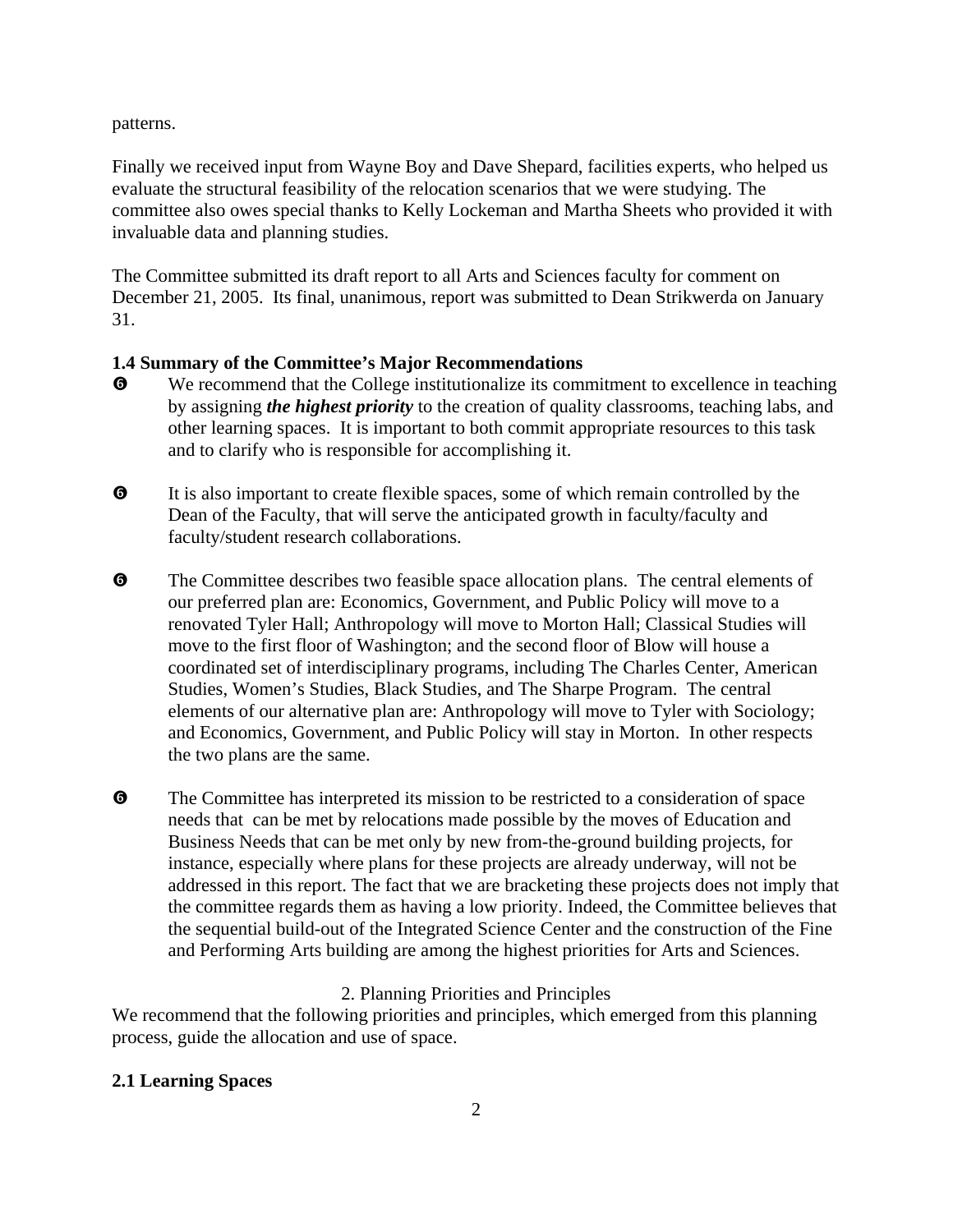patterns.

Finally we received input from Wayne Boy and Dave Shepard, facilities experts, who helped us evaluate the structural feasibility of the relocation scenarios that we were studying. The committee also owes special thanks to Kelly Lockeman and Martha Sheets who provided it with invaluable data and planning studies.

The Committee submitted its draft report to all Arts and Sciences faculty for comment on December 21, 2005. Its final, unanimous, report was submitted to Dean Strikwerda on January 31.

# **1.4 Summary of the Committee's Major Recommendations**

- $\bullet$  We recommend that the College institutionalize its commitment to excellence in teaching by assigning *the highest priority* to the creation of quality classrooms, teaching labs, and other learning spaces. It is important to both commit appropriate resources to this task and to clarify who is responsible for accomplishing it.
- $\Theta$  It is also important to create flexible spaces, some of which remain controlled by the Dean of the Faculty, that will serve the anticipated growth in faculty/faculty and faculty/student research collaborations.
- $\bullet$  The Committee describes two feasible space allocation plans. The central elements of our preferred plan are: Economics, Government, and Public Policy will move to a renovated Tyler Hall; Anthropology will move to Morton Hall; Classical Studies will move to the first floor of Washington; and the second floor of Blow will house a coordinated set of interdisciplinary programs, including The Charles Center, American Studies, Women's Studies, Black Studies, and The Sharpe Program. The central elements of our alternative plan are: Anthropology will move to Tyler with Sociology; and Economics, Government, and Public Policy will stay in Morton. In other respects the two plans are the same.
- $\bullet$  The Committee has interpreted its mission to be restricted to a consideration of space needs that can be met by relocations made possible by the moves of Education and Business Needs that can be met only by new from-the-ground building projects, for instance, especially where plans for these projects are already underway, will not be addressed in this report. The fact that we are bracketing these projects does not imply that the committee regards them as having a low priority. Indeed, the Committee believes that the sequential build-out of the Integrated Science Center and the construction of the Fine and Performing Arts building are among the highest priorities for Arts and Sciences.

# 2. Planning Priorities and Principles

We recommend that the following priorities and principles, which emerged from this planning process, guide the allocation and use of space.

# **2.1 Learning Spaces**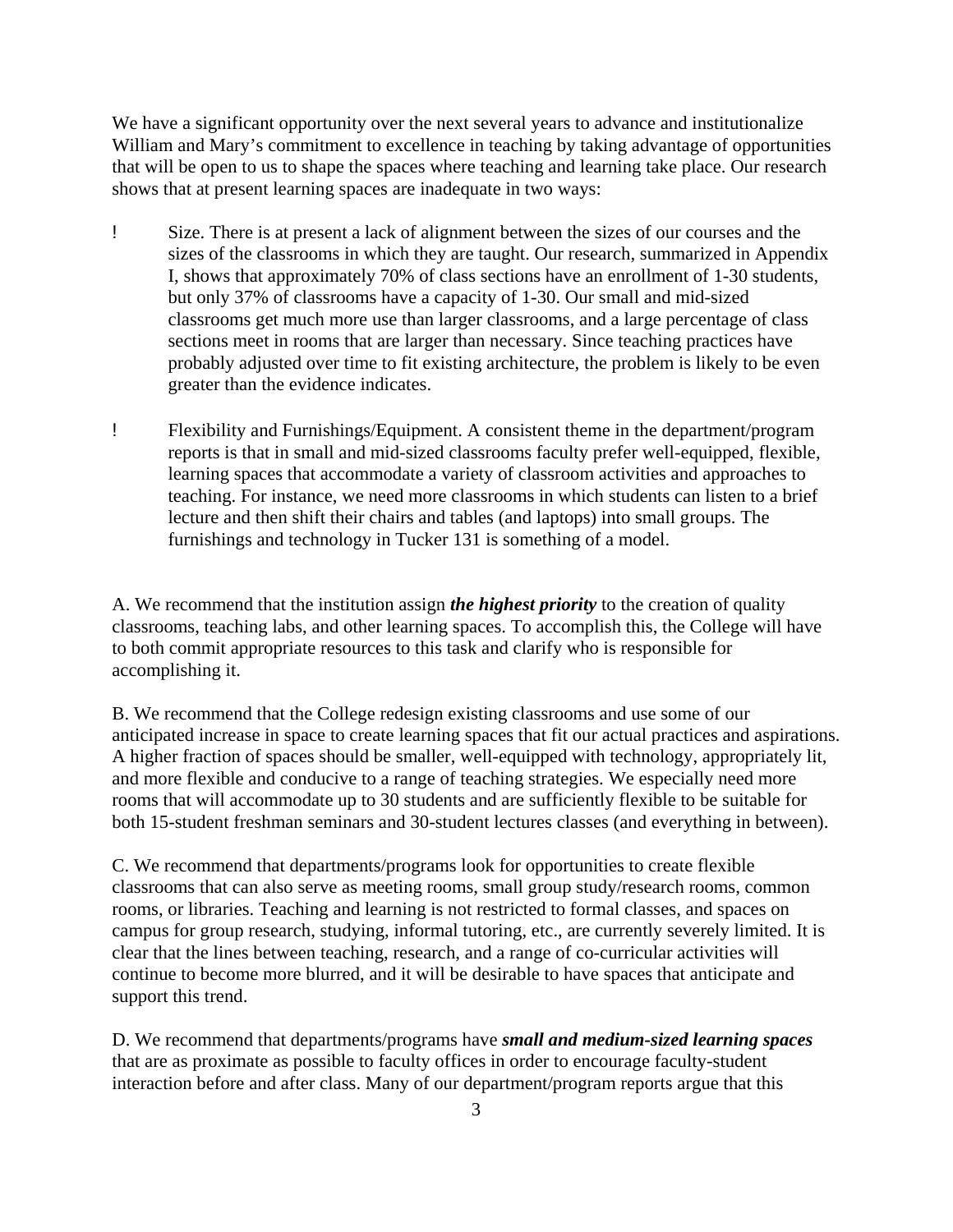We have a significant opportunity over the next several years to advance and institutionalize William and Mary's commitment to excellence in teaching by taking advantage of opportunities that will be open to us to shape the spaces where teaching and learning take place. Our research shows that at present learning spaces are inadequate in two ways:

- ! Size. There is at present a lack of alignment between the sizes of our courses and the sizes of the classrooms in which they are taught. Our research, summarized in Appendix I, shows that approximately 70% of class sections have an enrollment of 1-30 students, but only 37% of classrooms have a capacity of 1-30. Our small and mid-sized classrooms get much more use than larger classrooms, and a large percentage of class sections meet in rooms that are larger than necessary. Since teaching practices have probably adjusted over time to fit existing architecture, the problem is likely to be even greater than the evidence indicates.
- ! Flexibility and Furnishings/Equipment. A consistent theme in the department/program reports is that in small and mid-sized classrooms faculty prefer well-equipped, flexible, learning spaces that accommodate a variety of classroom activities and approaches to teaching. For instance, we need more classrooms in which students can listen to a brief lecture and then shift their chairs and tables (and laptops) into small groups. The furnishings and technology in Tucker 131 is something of a model.

A. We recommend that the institution assign *the highest priority* to the creation of quality classrooms, teaching labs, and other learning spaces. To accomplish this, the College will have to both commit appropriate resources to this task and clarify who is responsible for accomplishing it.

B. We recommend that the College redesign existing classrooms and use some of our anticipated increase in space to create learning spaces that fit our actual practices and aspirations. A higher fraction of spaces should be smaller, well-equipped with technology, appropriately lit, and more flexible and conducive to a range of teaching strategies. We especially need more rooms that will accommodate up to 30 students and are sufficiently flexible to be suitable for both 15-student freshman seminars and 30-student lectures classes (and everything in between).

C. We recommend that departments/programs look for opportunities to create flexible classrooms that can also serve as meeting rooms, small group study/research rooms, common rooms, or libraries. Teaching and learning is not restricted to formal classes, and spaces on campus for group research, studying, informal tutoring, etc., are currently severely limited. It is clear that the lines between teaching, research, and a range of co-curricular activities will continue to become more blurred, and it will be desirable to have spaces that anticipate and support this trend.

D. We recommend that departments/programs have *small and medium-sized learning spaces*  that are as proximate as possible to faculty offices in order to encourage faculty-student interaction before and after class. Many of our department/program reports argue that this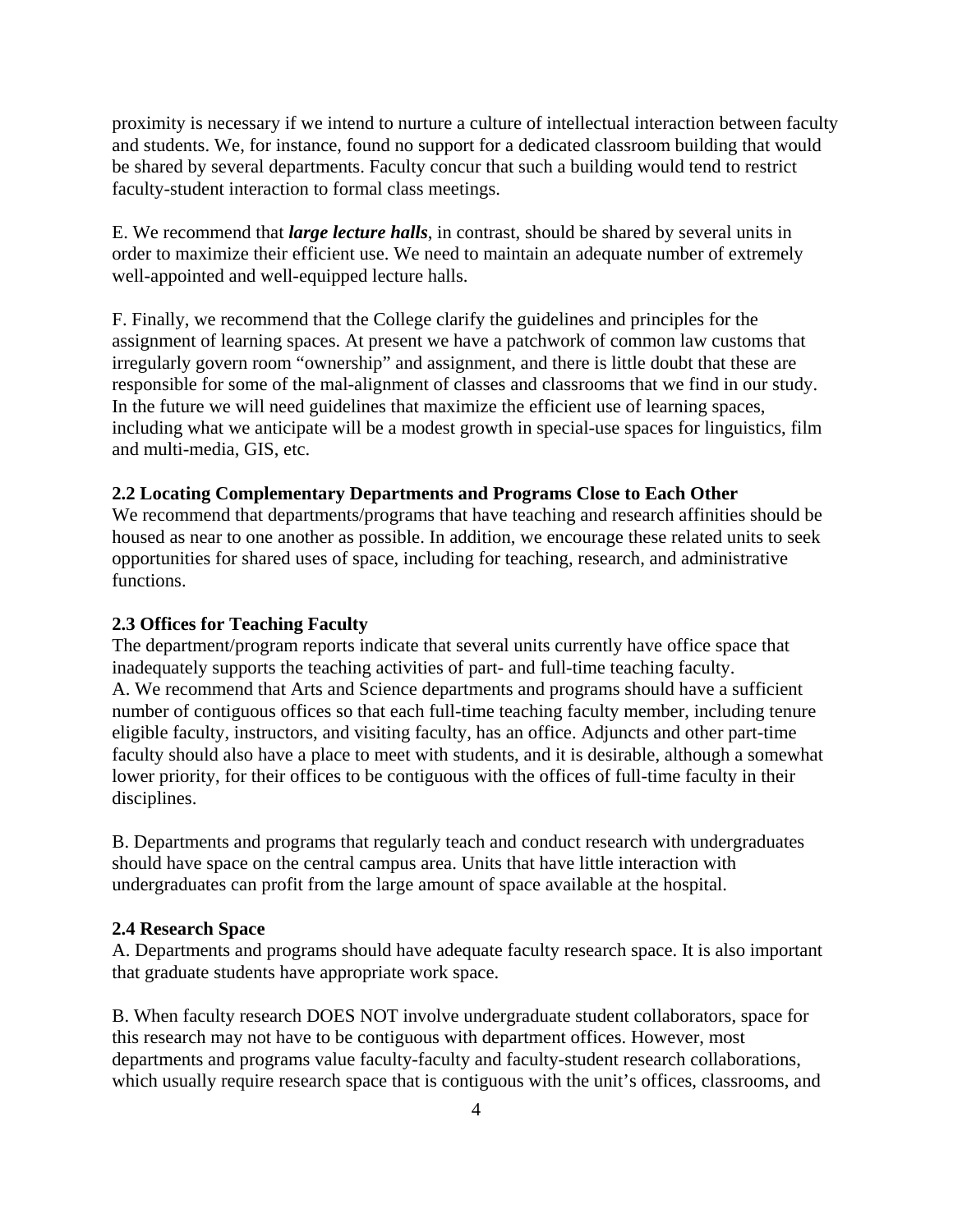proximity is necessary if we intend to nurture a culture of intellectual interaction between faculty and students. We, for instance, found no support for a dedicated classroom building that would be shared by several departments. Faculty concur that such a building would tend to restrict faculty-student interaction to formal class meetings.

E. We recommend that *large lecture halls*, in contrast, should be shared by several units in order to maximize their efficient use. We need to maintain an adequate number of extremely well-appointed and well-equipped lecture halls.

F. Finally, we recommend that the College clarify the guidelines and principles for the assignment of learning spaces. At present we have a patchwork of common law customs that irregularly govern room "ownership" and assignment, and there is little doubt that these are responsible for some of the mal-alignment of classes and classrooms that we find in our study. In the future we will need guidelines that maximize the efficient use of learning spaces, including what we anticipate will be a modest growth in special-use spaces for linguistics, film and multi-media, GIS, etc.

#### **2.2 Locating Complementary Departments and Programs Close to Each Other**

We recommend that departments/programs that have teaching and research affinities should be housed as near to one another as possible. In addition, we encourage these related units to seek opportunities for shared uses of space, including for teaching, research, and administrative functions.

#### **2.3 Offices for Teaching Faculty**

The department/program reports indicate that several units currently have office space that inadequately supports the teaching activities of part- and full-time teaching faculty. A. We recommend that Arts and Science departments and programs should have a sufficient number of contiguous offices so that each full-time teaching faculty member, including tenure eligible faculty, instructors, and visiting faculty, has an office. Adjuncts and other part-time faculty should also have a place to meet with students, and it is desirable, although a somewhat lower priority, for their offices to be contiguous with the offices of full-time faculty in their disciplines.

B. Departments and programs that regularly teach and conduct research with undergraduates should have space on the central campus area. Units that have little interaction with undergraduates can profit from the large amount of space available at the hospital.

#### **2.4 Research Space**

A. Departments and programs should have adequate faculty research space. It is also important that graduate students have appropriate work space.

B. When faculty research DOES NOT involve undergraduate student collaborators, space for this research may not have to be contiguous with department offices. However, most departments and programs value faculty-faculty and faculty-student research collaborations, which usually require research space that is contiguous with the unit's offices, classrooms, and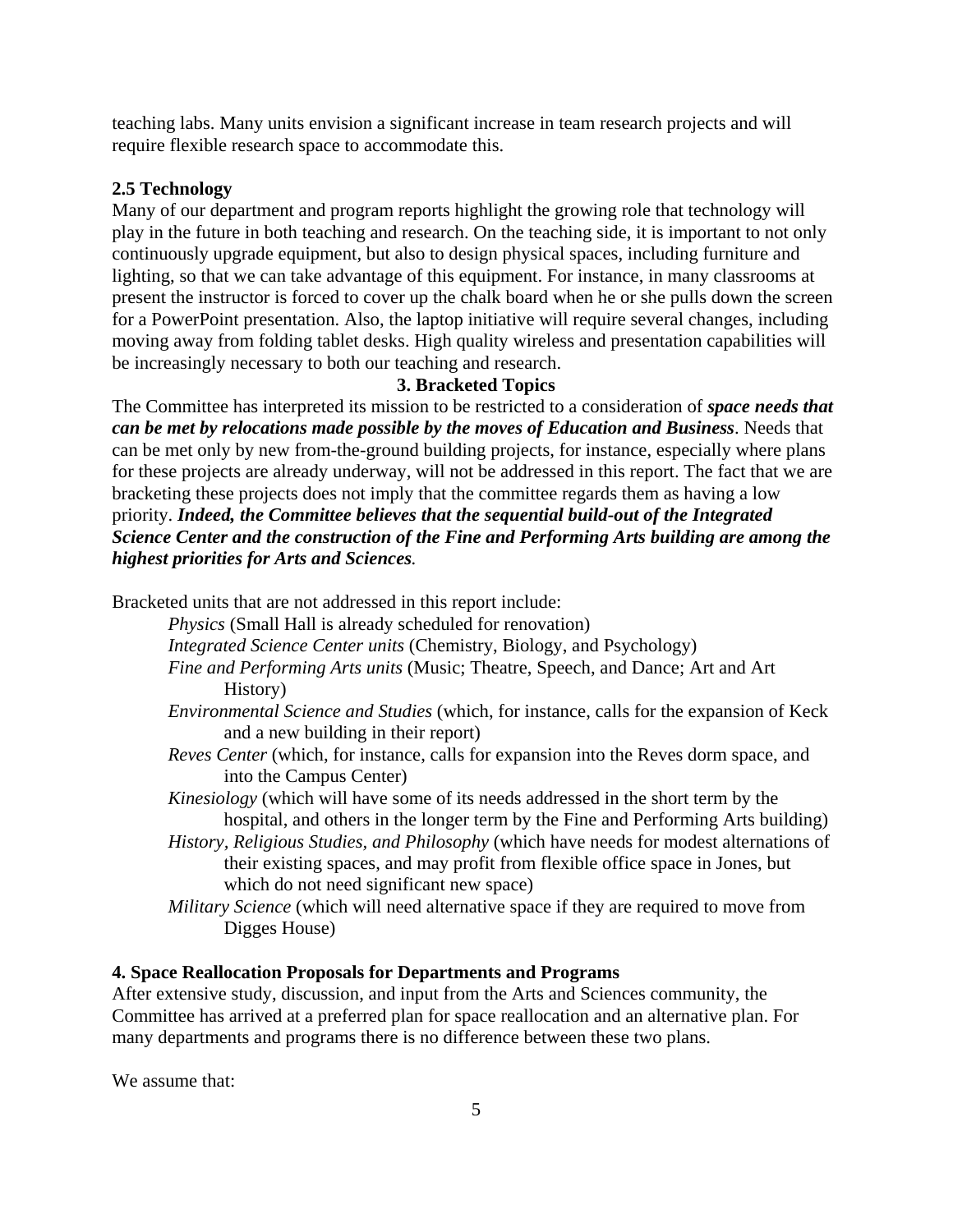teaching labs. Many units envision a significant increase in team research projects and will require flexible research space to accommodate this.

## **2.5 Technology**

Many of our department and program reports highlight the growing role that technology will play in the future in both teaching and research. On the teaching side, it is important to not only continuously upgrade equipment, but also to design physical spaces, including furniture and lighting, so that we can take advantage of this equipment. For instance, in many classrooms at present the instructor is forced to cover up the chalk board when he or she pulls down the screen for a PowerPoint presentation. Also, the laptop initiative will require several changes, including moving away from folding tablet desks. High quality wireless and presentation capabilities will be increasingly necessary to both our teaching and research.

# **3. Bracketed Topics**

The Committee has interpreted its mission to be restricted to a consideration of *space needs that can be met by relocations made possible by the moves of Education and Business*. Needs that can be met only by new from-the-ground building projects, for instance, especially where plans for these projects are already underway, will not be addressed in this report. The fact that we are bracketing these projects does not imply that the committee regards them as having a low priority. *Indeed, the Committee believes that the sequential build-out of the Integrated Science Center and the construction of the Fine and Performing Arts building are among the highest priorities for Arts and Sciences.* 

Bracketed units that are not addressed in this report include:

 *Physics* (Small Hall is already scheduled for renovation)

- *Integrated Science Center units* (Chemistry, Biology, and Psychology)
- *Fine and Performing Arts units* (Music; Theatre, Speech, and Dance; Art and Art History)
- *Environmental Science and Studies* (which, for instance, calls for the expansion of Keck and a new building in their report)
- *Reves Center* (which, for instance, calls for expansion into the Reves dorm space, and into the Campus Center)
- *Kinesiology* (which will have some of its needs addressed in the short term by the hospital, and others in the longer term by the Fine and Performing Arts building)
- *History, Religious Studies, and Philosophy* (which have needs for modest alternations of their existing spaces, and may profit from flexible office space in Jones, but which do not need significant new space)
- *Military Science* (which will need alternative space if they are required to move from Digges House)

### **4. Space Reallocation Proposals for Departments and Programs**

After extensive study, discussion, and input from the Arts and Sciences community, the Committee has arrived at a preferred plan for space reallocation and an alternative plan. For many departments and programs there is no difference between these two plans.

We assume that: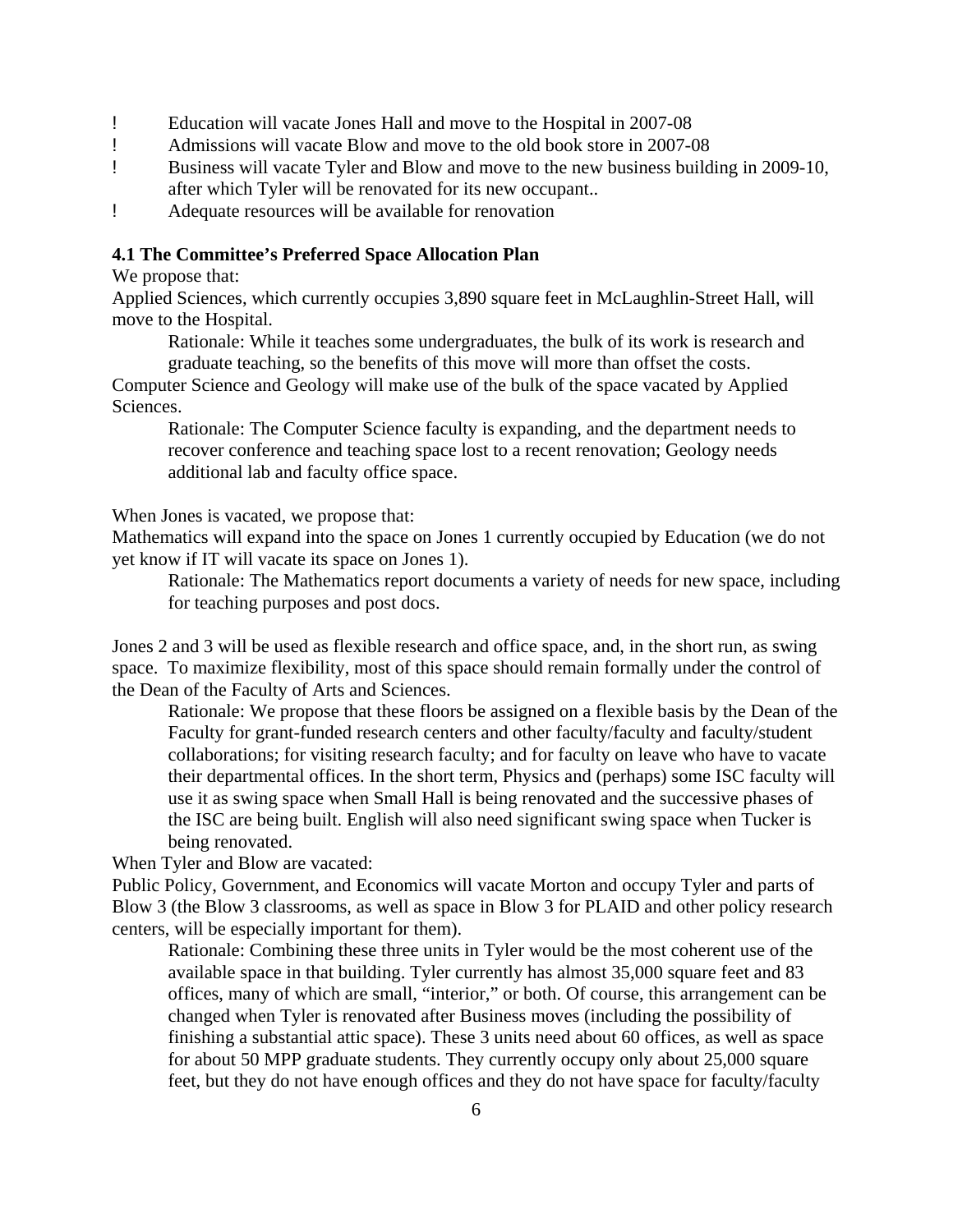- ! Education will vacate Jones Hall and move to the Hospital in 2007-08
- ! Admissions will vacate Blow and move to the old book store in 2007-08
- ! Business will vacate Tyler and Blow and move to the new business building in 2009-10, after which Tyler will be renovated for its new occupant..
- ! Adequate resources will be available for renovation

## **4.1 The Committee's Preferred Space Allocation Plan**

We propose that:

Applied Sciences, which currently occupies 3,890 square feet in McLaughlin-Street Hall, will move to the Hospital.

 Rationale: While it teaches some undergraduates, the bulk of its work is research and graduate teaching, so the benefits of this move will more than offset the costs.

Computer Science and Geology will make use of the bulk of the space vacated by Applied Sciences.

 Rationale: The Computer Science faculty is expanding, and the department needs to recover conference and teaching space lost to a recent renovation; Geology needs additional lab and faculty office space.

When Jones is vacated, we propose that:

Mathematics will expand into the space on Jones 1 currently occupied by Education (we do not yet know if IT will vacate its space on Jones 1).

 Rationale: The Mathematics report documents a variety of needs for new space, including for teaching purposes and post docs.

Jones 2 and 3 will be used as flexible research and office space, and, in the short run, as swing space. To maximize flexibility, most of this space should remain formally under the control of the Dean of the Faculty of Arts and Sciences.

 Rationale: We propose that these floors be assigned on a flexible basis by the Dean of the Faculty for grant-funded research centers and other faculty/faculty and faculty/student collaborations; for visiting research faculty; and for faculty on leave who have to vacate their departmental offices. In the short term, Physics and (perhaps) some ISC faculty will use it as swing space when Small Hall is being renovated and the successive phases of the ISC are being built. English will also need significant swing space when Tucker is being renovated.

When Tyler and Blow are vacated:

Public Policy, Government, and Economics will vacate Morton and occupy Tyler and parts of Blow 3 (the Blow 3 classrooms, as well as space in Blow 3 for PLAID and other policy research centers, will be especially important for them).

 Rationale: Combining these three units in Tyler would be the most coherent use of the available space in that building. Tyler currently has almost 35,000 square feet and 83 offices, many of which are small, "interior," or both. Of course, this arrangement can be changed when Tyler is renovated after Business moves (including the possibility of finishing a substantial attic space). These 3 units need about 60 offices, as well as space for about 50 MPP graduate students. They currently occupy only about 25,000 square feet, but they do not have enough offices and they do not have space for faculty/faculty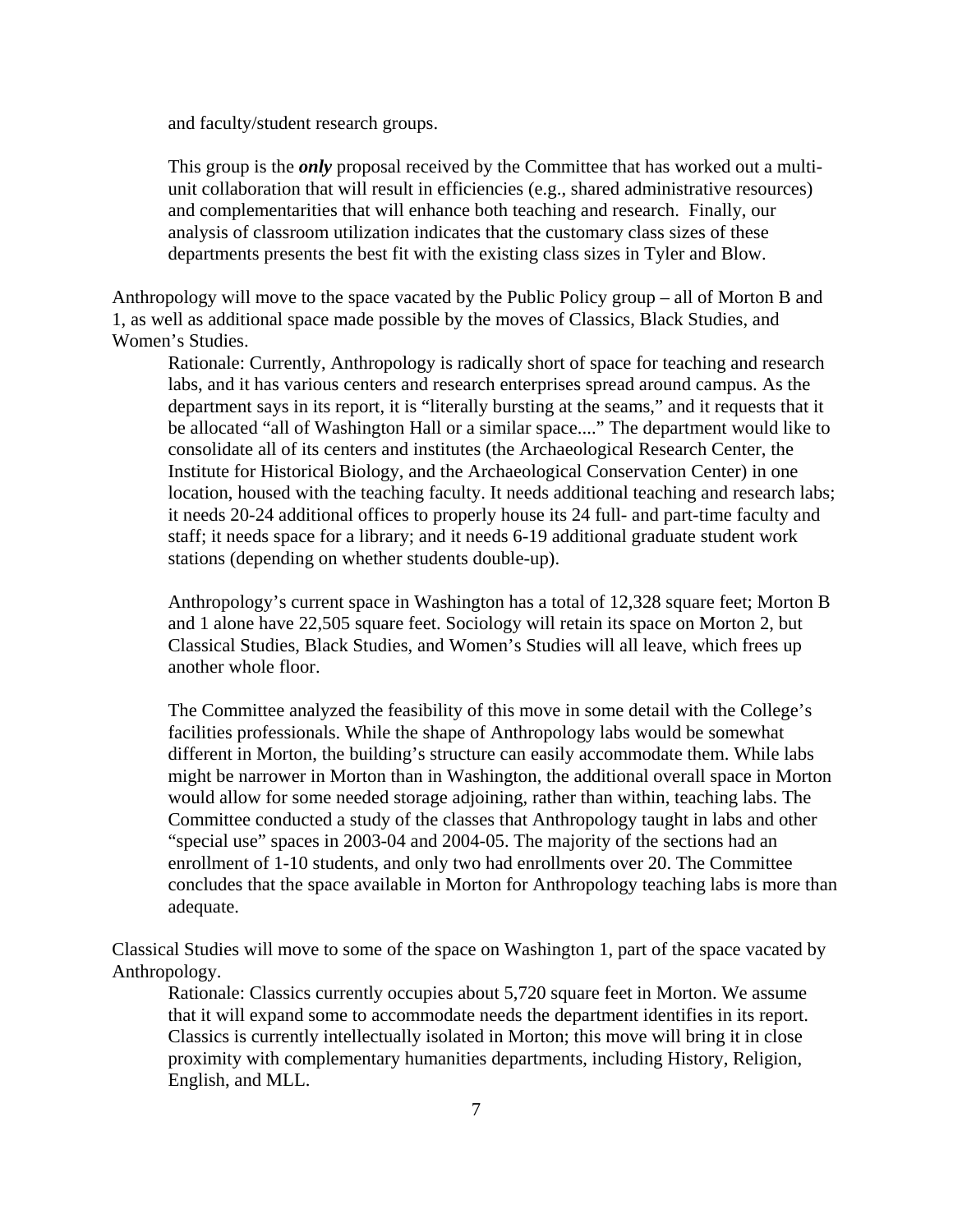and faculty/student research groups.

This group is the *only* proposal received by the Committee that has worked out a multiunit collaboration that will result in efficiencies (e.g., shared administrative resources) and complementarities that will enhance both teaching and research. Finally, our analysis of classroom utilization indicates that the customary class sizes of these departments presents the best fit with the existing class sizes in Tyler and Blow.

Anthropology will move to the space vacated by the Public Policy group – all of Morton B and 1, as well as additional space made possible by the moves of Classics, Black Studies, and Women's Studies.

 Rationale: Currently, Anthropology is radically short of space for teaching and research labs, and it has various centers and research enterprises spread around campus. As the department says in its report, it is "literally bursting at the seams," and it requests that it be allocated "all of Washington Hall or a similar space...." The department would like to consolidate all of its centers and institutes (the Archaeological Research Center, the Institute for Historical Biology, and the Archaeological Conservation Center) in one location, housed with the teaching faculty. It needs additional teaching and research labs; it needs 20-24 additional offices to properly house its 24 full- and part-time faculty and staff; it needs space for a library; and it needs 6-19 additional graduate student work stations (depending on whether students double-up).

 Anthropology's current space in Washington has a total of 12,328 square feet; Morton B and 1 alone have 22,505 square feet. Sociology will retain its space on Morton 2, but Classical Studies, Black Studies, and Women's Studies will all leave, which frees up another whole floor.

 The Committee analyzed the feasibility of this move in some detail with the College's facilities professionals. While the shape of Anthropology labs would be somewhat different in Morton, the building's structure can easily accommodate them. While labs might be narrower in Morton than in Washington, the additional overall space in Morton would allow for some needed storage adjoining, rather than within, teaching labs. The Committee conducted a study of the classes that Anthropology taught in labs and other "special use" spaces in 2003-04 and 2004-05. The majority of the sections had an enrollment of 1-10 students, and only two had enrollments over 20. The Committee concludes that the space available in Morton for Anthropology teaching labs is more than adequate.

Classical Studies will move to some of the space on Washington 1, part of the space vacated by Anthropology.

 Rationale: Classics currently occupies about 5,720 square feet in Morton. We assume that it will expand some to accommodate needs the department identifies in its report. Classics is currently intellectually isolated in Morton; this move will bring it in close proximity with complementary humanities departments, including History, Religion, English, and MLL.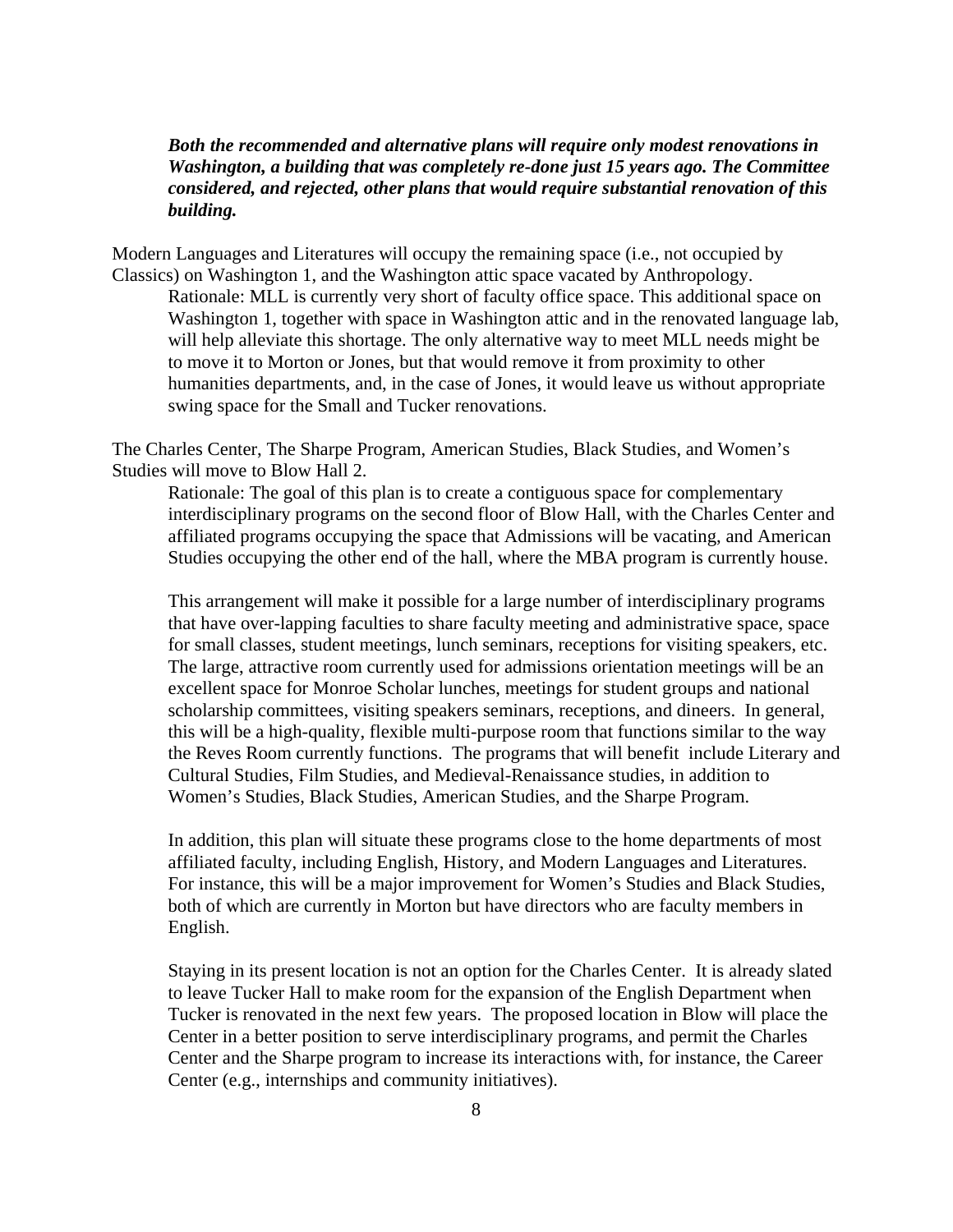# *Both the recommended and alternative plans will require only modest renovations in Washington, a building that was completely re-done just 15 years ago. The Committee considered, and rejected, other plans that would require substantial renovation of this building.*

Modern Languages and Literatures will occupy the remaining space (i.e., not occupied by Classics) on Washington 1, and the Washington attic space vacated by Anthropology.

 Rationale: MLL is currently very short of faculty office space. This additional space on Washington 1, together with space in Washington attic and in the renovated language lab, will help alleviate this shortage. The only alternative way to meet MLL needs might be to move it to Morton or Jones, but that would remove it from proximity to other humanities departments, and, in the case of Jones, it would leave us without appropriate swing space for the Small and Tucker renovations.

The Charles Center, The Sharpe Program, American Studies, Black Studies, and Women's Studies will move to Blow Hall 2.

Rationale: The goal of this plan is to create a contiguous space for complementary interdisciplinary programs on the second floor of Blow Hall, with the Charles Center and affiliated programs occupying the space that Admissions will be vacating, and American Studies occupying the other end of the hall, where the MBA program is currently house.

This arrangement will make it possible for a large number of interdisciplinary programs that have over-lapping faculties to share faculty meeting and administrative space, space for small classes, student meetings, lunch seminars, receptions for visiting speakers, etc. The large, attractive room currently used for admissions orientation meetings will be an excellent space for Monroe Scholar lunches, meetings for student groups and national scholarship committees, visiting speakers seminars, receptions, and dineers. In general, this will be a high-quality, flexible multi-purpose room that functions similar to the way the Reves Room currently functions. The programs that will benefit include Literary and Cultural Studies, Film Studies, and Medieval-Renaissance studies, in addition to Women's Studies, Black Studies, American Studies, and the Sharpe Program.

 In addition, this plan will situate these programs close to the home departments of most affiliated faculty, including English, History, and Modern Languages and Literatures. For instance, this will be a major improvement for Women's Studies and Black Studies, both of which are currently in Morton but have directors who are faculty members in English.

Staying in its present location is not an option for the Charles Center. It is already slated to leave Tucker Hall to make room for the expansion of the English Department when Tucker is renovated in the next few years. The proposed location in Blow will place the Center in a better position to serve interdisciplinary programs, and permit the Charles Center and the Sharpe program to increase its interactions with, for instance, the Career Center (e.g., internships and community initiatives).